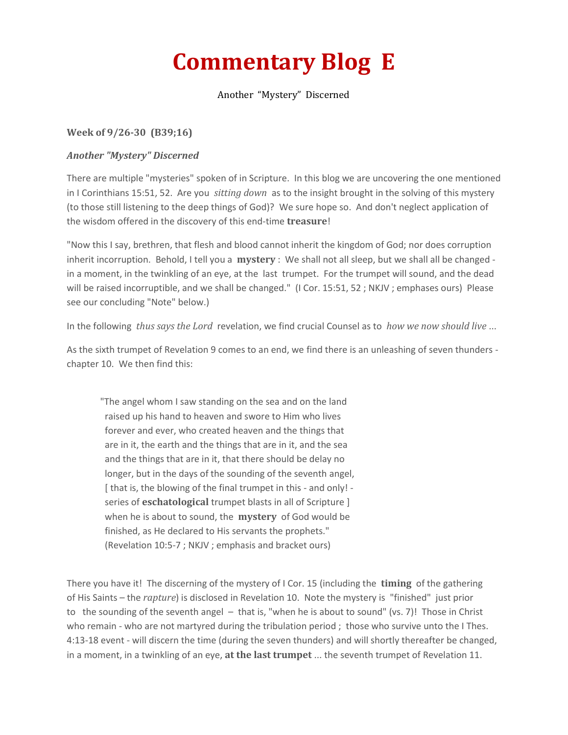## **Commentary Blog E**

## Another "Mystery" Discerned

## **Week of 9/26-30 (B39;16)**

## *Another "Mystery" Discerned*

There are multiple "mysteries" spoken of in Scripture. In this blog we are uncovering the one mentioned in I Corinthians 15:51, 52. Are you *sitting down* as to the insight brought in the solving of this mystery (to those still listening to the deep things of God)? We sure hope so. And don't neglect application of the wisdom offered in the discovery of this end-time **treasure**!

"Now this I say, brethren, that flesh and blood cannot inherit the kingdom of God; nor does corruption inherit incorruption. Behold, I tell you a **mystery** : We shall not all sleep, but we shall all be changed in a moment, in the twinkling of an eye, at the last trumpet. For the trumpet will sound, and the dead will be raised incorruptible, and we shall be changed." (I Cor. 15:51, 52; NKJV; emphases ours) Please see our concluding "Note" below.)

In the following *thus says the Lord*revelation, we find crucial Counsel as to *how we now should live* ...

As the sixth trumpet of Revelation 9 comes to an end, we find there is an unleashing of seven thunders chapter 10. We then find this:

"The angel whom I saw standing on the sea and on the land raised up his hand to heaven and swore to Him who lives forever and ever, who created heaven and the things that are in it, the earth and the things that are in it, and the sea and the things that are in it, that there should be delay no longer, but in the days of the sounding of the seventh angel, [ that is, the blowing of the final trumpet in this - and only! series of **eschatological** trumpet blasts in all of Scripture ] when he is about to sound, the **mystery** of God would be finished, as He declared to His servants the prophets." (Revelation 10:5-7 ; NKJV ; emphasis and bracket ours)

There you have it! The discerning of the mystery of I Cor. 15 (including the **timing** of the gathering of His Saints – the *rapture*) is disclosed in Revelation 10. Note the mystery is "finished" just prior to the sounding of the seventh angel – that is, "when he is about to sound" (vs. 7)! Those in Christ who remain - who are not martyred during the tribulation period ; those who survive unto the I Thes. 4:13-18 event - will discern the time (during the seven thunders) and will shortly thereafter be changed, in a moment, in a twinkling of an eye, **at the last trumpet** ... the seventh trumpet of Revelation 11.